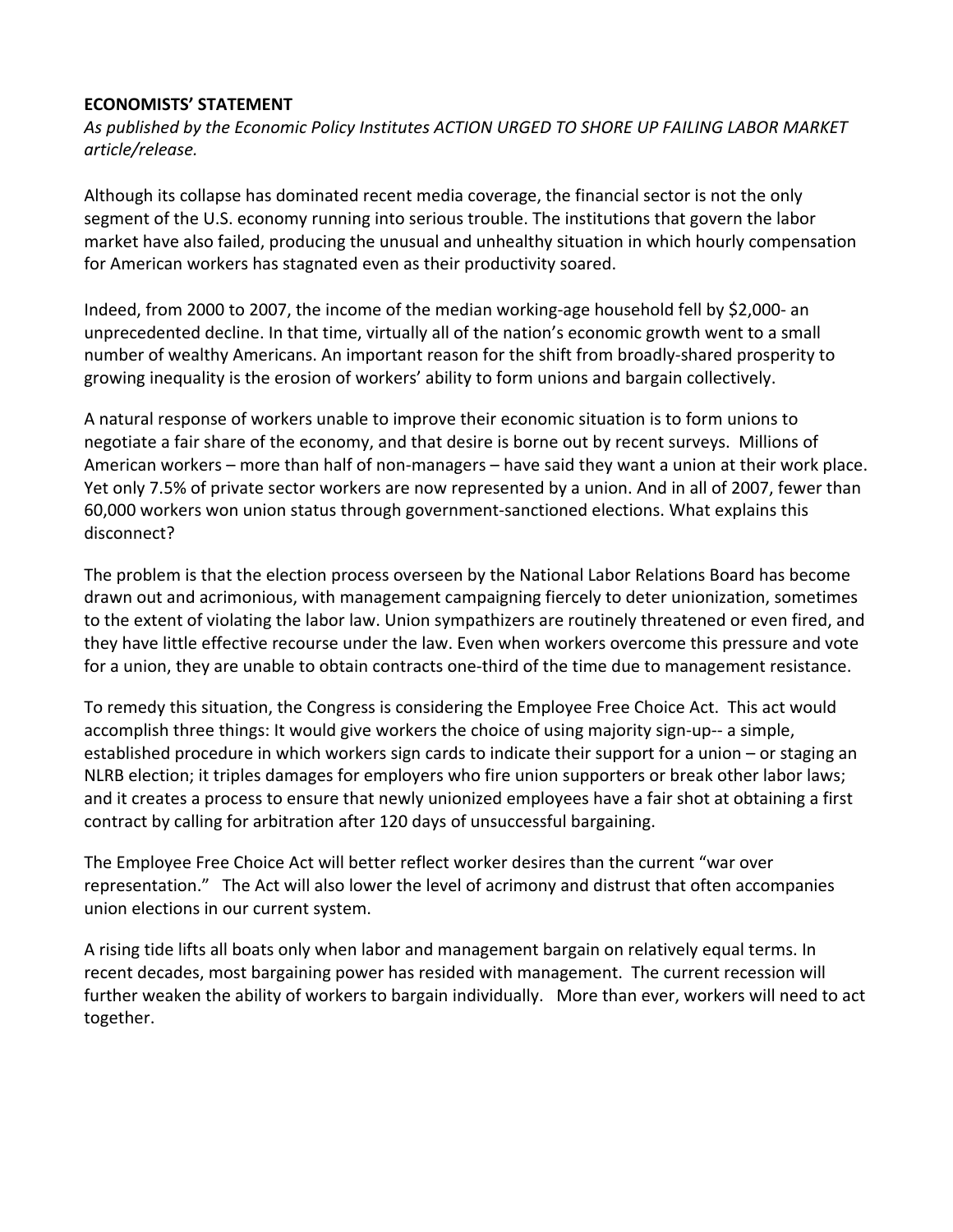## **ECONOMISTS' STATEMENT**

*As published by the Economic Policy Institutes ACTION URGED TO SHORE UP FAILING LABOR MARKET article/release.*

Although its collapse has dominated recent media coverage, the financial sector is not the only segment of the U.S. economy running into serious trouble. The institutions that govern the labor market have also failed, producing the unusual and unhealthy situation in which hourly compensation for American workers has stagnated even as their productivity soared.

Indeed, from 2000 to 2007, the income of the median working‐age household fell by \$2,000‐ an unprecedented decline. In that time, virtually all of the nation's economic growth went to a small number of wealthy Americans. An important reason for the shift from broadly‐shared prosperity to growing inequality is the erosion of workers' ability to form unions and bargain collectively.

A natural response of workers unable to improve their economic situation is to form unions to negotiate a fair share of the economy, and that desire is borne out by recent surveys. Millions of American workers – more than half of non‐managers – have said they want a union at their work place. Yet only 7.5% of private sector workers are now represented by a union. And in all of 2007, fewer than 60,000 workers won union status through government‐sanctioned elections. What explains this disconnect?

The problem is that the election process overseen by the National Labor Relations Board has become drawn out and acrimonious, with management campaigning fiercely to deter unionization, sometimes to the extent of violating the labor law. Union sympathizers are routinely threatened or even fired, and they have little effective recourse under the law. Even when workers overcome this pressure and vote for a union, they are unable to obtain contracts one-third of the time due to management resistance.

To remedy this situation, the Congress is considering the Employee Free Choice Act. This act would accomplish three things: It would give workers the choice of using majority sign-up-- a simple, established procedure in which workers sign cards to indicate their support for a union – or staging an NLRB election; it triples damages for employers who fire union supporters or break other labor laws; and it creates a process to ensure that newly unionized employees have a fair shot at obtaining a first contract by calling for arbitration after 120 days of unsuccessful bargaining.

The Employee Free Choice Act will better reflect worker desires than the current "war over representation." The Act will also lower the level of acrimony and distrust that often accompanies union elections in our current system.

A rising tide lifts all boats only when labor and management bargain on relatively equal terms. In recent decades, most bargaining power has resided with management. The current recession will further weaken the ability of workers to bargain individually. More than ever, workers will need to act together.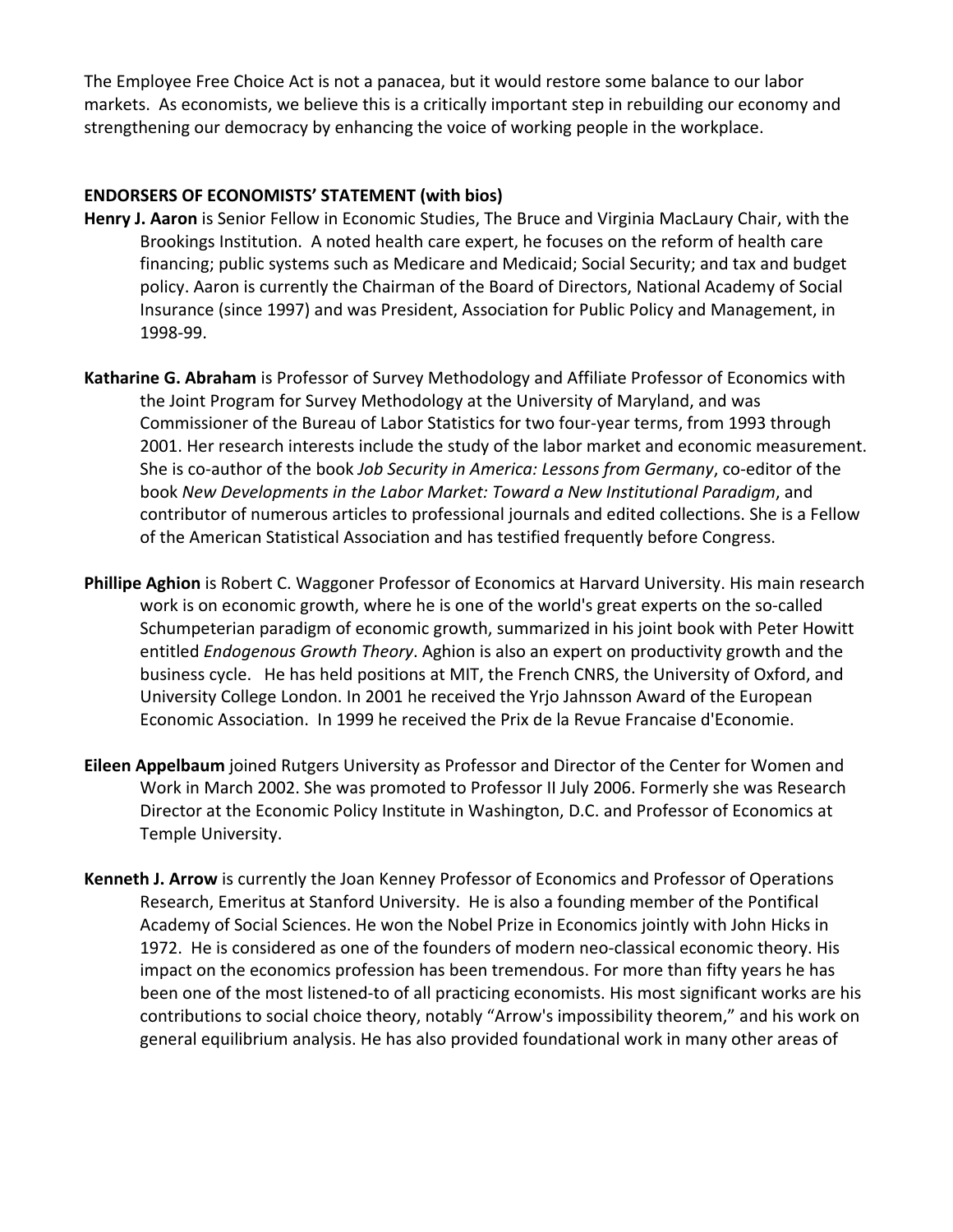The Employee Free Choice Act is not a panacea, but it would restore some balance to our labor markets. As economists, we believe this is a critically important step in rebuilding our economy and strengthening our democracy by enhancing the voice of working people in the workplace.

## **ENDORSERS OF ECONOMISTS' STATEMENT (with bios)**

- **Henry J. Aaron** is Senior Fellow in Economic Studies, The Bruce and Virginia MacLaury Chair, with the Brookings Institution. A noted health care expert, he focuses on the reform of health care financing; public systems such as Medicare and Medicaid; Social Security; and tax and budget policy. Aaron is currently the Chairman of the Board of Directors, National Academy of Social Insurance (since 1997) and was President, Association for Public Policy and Management, in 1998‐99.
- **Katharine G. Abraham** is Professor of Survey Methodology and Affiliate Professor of Economics with the Joint Program for Survey Methodology at the University of Maryland, and was Commissioner of the Bureau of Labor Statistics for two four‐year terms, from 1993 through 2001. Her research interests include the study of the labor market and economic measurement. She is co‐author of the book *Job Security in America: Lessons from Germany*, co‐editor of the book *New Developments in the Labor Market: Toward a New Institutional Paradigm*, and contributor of numerous articles to professional journals and edited collections. She is a Fellow of the American Statistical Association and has testified frequently before Congress.
- **Phillipe Aghion** is Robert C. Waggoner Professor of Economics at Harvard University. His main research work is on economic growth, where he is one of the world's great experts on the so‐called Schumpeterian paradigm of economic growth, summarized in his joint book with Peter Howitt entitled *Endogenous Growth Theory*. Aghion is also an expert on productivity growth and the business cycle. He has held positions at MIT, the French CNRS, the University of Oxford, and University College London. In 2001 he received the Yrjo Jahnsson Award of the European Economic Association. In 1999 he received the Prix de la Revue Francaise d'Economie.
- **Eileen Appelbaum** joined Rutgers University as Professor and Director of the Center for Women and Work in March 2002. She was promoted to Professor II July 2006. Formerly she was Research Director at the Economic Policy Institute in Washington, D.C. and Professor of Economics at Temple University.
- **Kenneth J. Arrow** is currently the Joan Kenney Professor of Economics and Professor of Operations Research, Emeritus at Stanford University. He is also a founding member of the Pontifical Academy of Social Sciences. He won the Nobel Prize in Economics jointly with John Hicks in 1972. He is considered as one of the founders of modern neo-classical economic theory. His impact on the economics profession has been tremendous. For more than fifty years he has been one of the most listened-to of all practicing economists. His most significant works are his contributions to social choice theory, notably "Arrow's impossibility theorem," and his work on general equilibrium analysis. He has also provided foundational work in many other areas of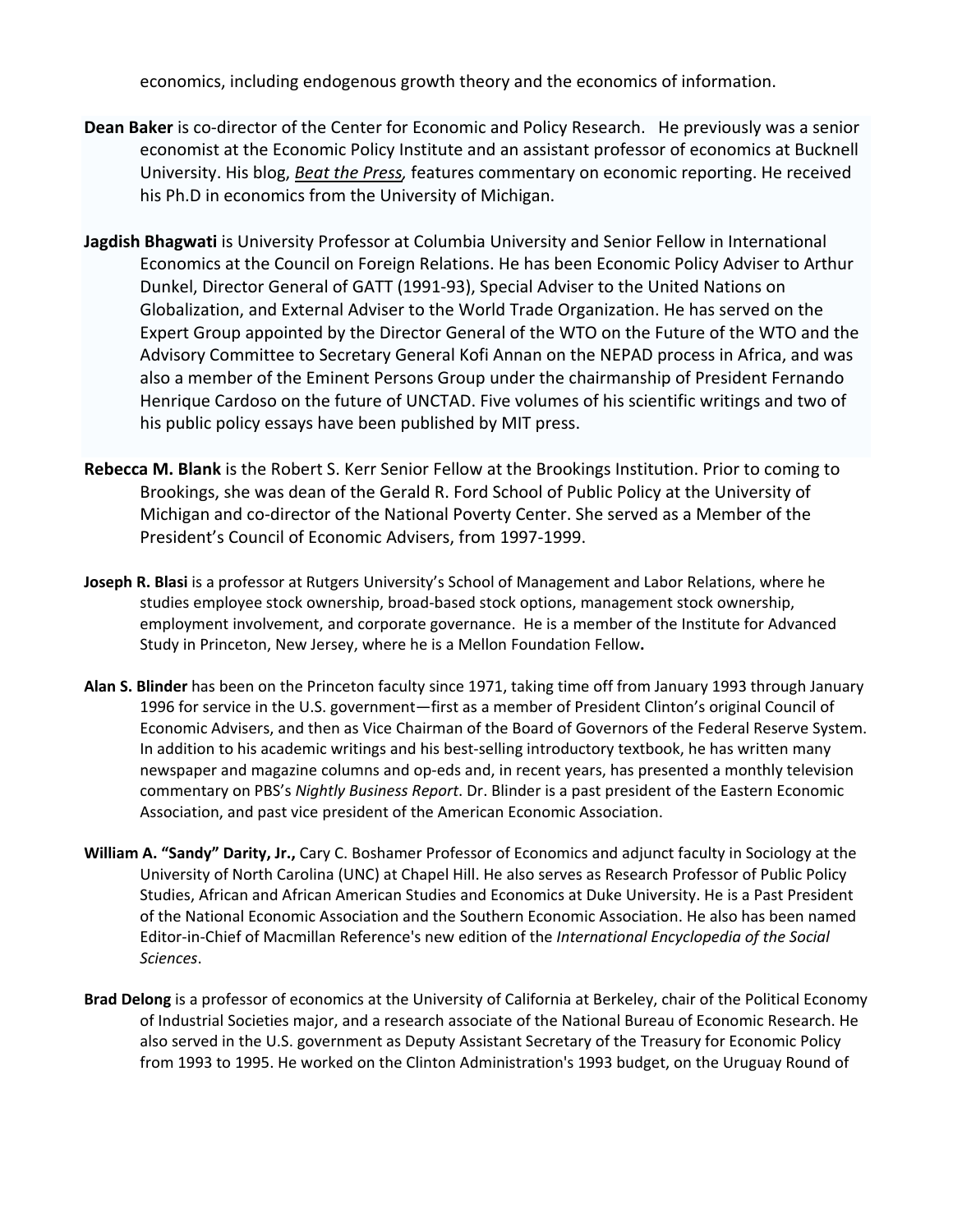economics, including endogenous growth theory and the economics of information.

- **Dean Baker** is co‐director of the Center for Economic and Policy Research. He previously was a senior economist at the Economic Policy Institute and an assistant professor of economics at Bucknell University. His blog, *Beat the Press,* features commentary on economic reporting. He received his Ph.D in economics from the University of Michigan.
- **Jagdish Bhagwati** is University Professor at Columbia University and Senior Fellow in International Economics at the Council on Foreign Relations. He has been Economic Policy Adviser to Arthur Dunkel, Director General of GATT (1991‐93), Special Adviser to the United Nations on Globalization, and External Adviser to the World Trade Organization. He has served on the Expert Group appointed by the Director General of the WTO on the Future of the WTO and the Advisory Committee to Secretary General Kofi Annan on the NEPAD process in Africa, and was also a member of the Eminent Persons Group under the chairmanship of President Fernando Henrique Cardoso on the future of UNCTAD. Five volumes of his scientific writings and two of his public policy essays have been published by MIT press.
- **Rebecca M. Blank** is the Robert S. Kerr Senior Fellow at the Brookings Institution. Prior to coming to Brookings, she was dean of the Gerald R. Ford School of Public Policy at the University of Michigan and co‐director of the National Poverty Center. She served as a Member of the President's Council of Economic Advisers, from 1997‐1999.
- **Joseph R. Blasi** is a professor at Rutgers University's School of Management and Labor Relations, where he studies employee stock ownership, broad-based stock options, management stock ownership, employment involvement, and corporate governance. He is a member of the Institute for Advanced Study in Princeton, New Jersey, where he is a Mellon Foundation Fellow**.**
- **Alan S. Blinder** has been on the Princeton faculty since 1971, taking time off from January 1993 through January 1996 for service in the U.S. government—first as a member of President Clinton's original Council of Economic Advisers, and then as Vice Chairman of the Board of Governors of the Federal Reserve System. In addition to his academic writings and his best‐selling introductory textbook, he has written many newspaper and magazine columns and op-eds and, in recent years, has presented a monthly television commentary on PBS's *Nightly Business Report*. Dr. Blinder is a past president of the Eastern Economic Association, and past vice president of the American Economic Association.
- **William A. "Sandy" Darity, Jr.,** Cary C. Boshamer Professor of Economics and adjunct faculty in Sociology at the University of North Carolina (UNC) at Chapel Hill. He also serves as Research Professor of Public Policy Studies, African and African American Studies and Economics at Duke University. He is a Past President of the National Economic Association and the Southern Economic Association. He also has been named Editor‐in‐Chief of Macmillan Reference's new edition of the *International Encyclopedia of the Social Sciences*.
- **Brad Delong** is a professor of economics at the University of California at Berkeley, chair of the Political Economy of Industrial Societies major, and a research associate of the National Bureau of Economic Research. He also served in the U.S. government as Deputy Assistant Secretary of the Treasury for Economic Policy from 1993 to 1995. He worked on the Clinton Administration's 1993 budget, on the Uruguay Round of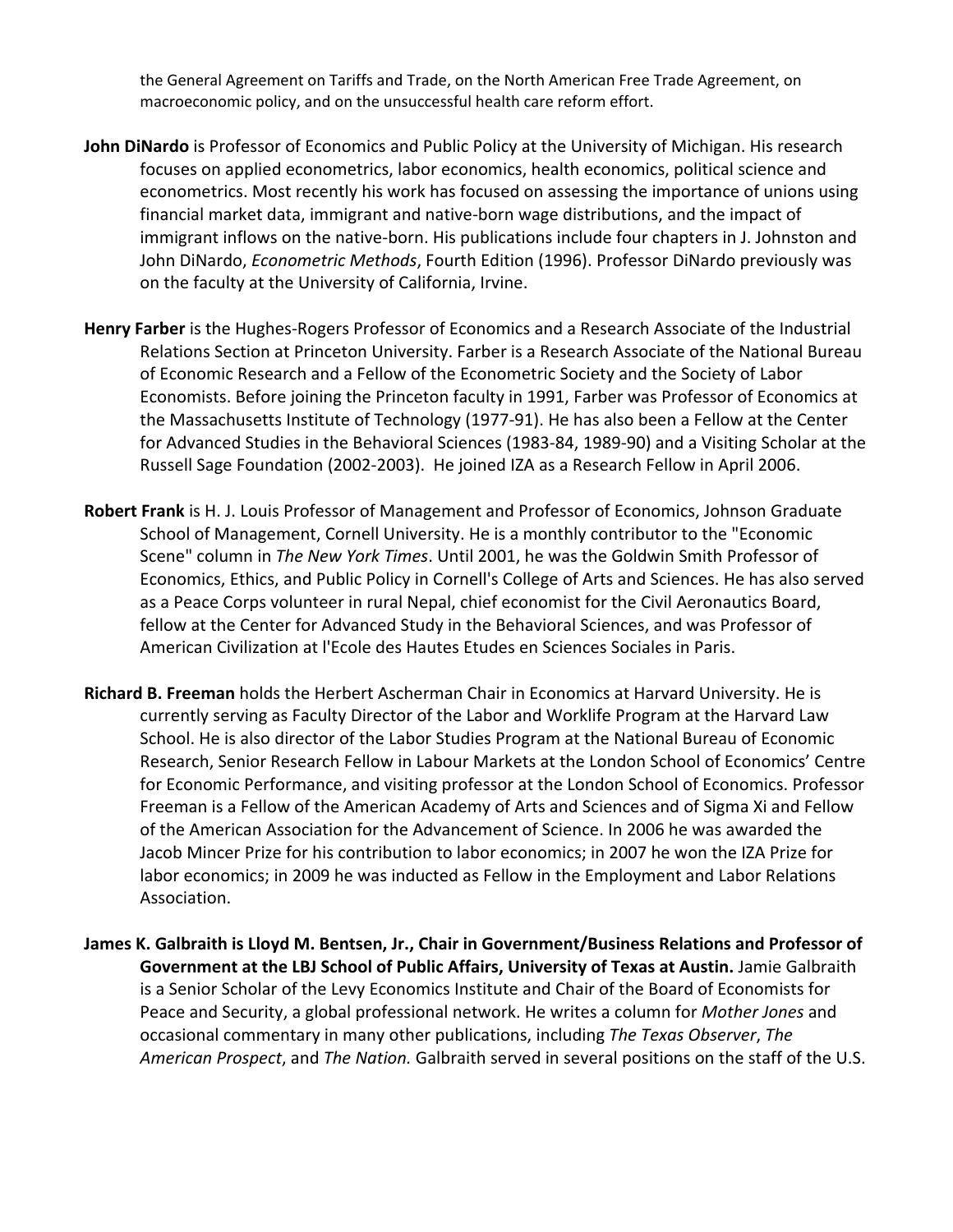the General Agreement on Tariffs and Trade, on the North American Free Trade Agreement, on macroeconomic policy, and on the unsuccessful health care reform effort.

- **John DiNardo** is Professor of Economics and Public Policy at the University of Michigan. His research focuses on applied econometrics, labor economics, health economics, political science and econometrics. Most recently his work has focused on assessing the importance of unions using financial market data, immigrant and native‐born wage distributions, and the impact of immigrant inflows on the native‐born. His publications include four chapters in J. Johnston and John DiNardo, *Econometric Methods*, Fourth Edition (1996). Professor DiNardo previously was on the faculty at the University of California, Irvine.
- **Henry Farber** is the Hughes‐Rogers Professor of Economics and a Research Associate of the Industrial Relations Section at Princeton University. Farber is a Research Associate of the National Bureau of Economic Research and a Fellow of the Econometric Society and the Society of Labor Economists. Before joining the Princeton faculty in 1991, Farber was Professor of Economics at the Massachusetts Institute of Technology (1977‐91). He has also been a Fellow at the Center for Advanced Studies in the Behavioral Sciences (1983‐84, 1989‐90) and a Visiting Scholar at the Russell Sage Foundation (2002‐2003). He joined IZA as a Research Fellow in April 2006.
- **Robert Frank** is H. J. Louis Professor of Management and Professor of Economics, Johnson Graduate School of Management, Cornell University. He is a monthly contributor to the "Economic Scene" column in *The New York Times*. Until 2001, he was the Goldwin Smith Professor of Economics, Ethics, and Public Policy in Cornell's College of Arts and Sciences. He has also served as a Peace Corps volunteer in rural Nepal, chief economist for the Civil Aeronautics Board, fellow at the Center for Advanced Study in the Behavioral Sciences, and was Professor of American Civilization at l'Ecole des Hautes Etudes en Sciences Sociales in Paris.
- **Richard B. Freeman** holds the Herbert Ascherman Chair in Economics at Harvard University. He is currently serving as Faculty Director of the Labor and Worklife Program at the Harvard Law School. He is also director of the Labor Studies Program at the National Bureau of Economic Research, Senior Research Fellow in Labour Markets at the London School of Economics' Centre for Economic Performance, and visiting professor at the London School of Economics. Professor Freeman is a Fellow of the American Academy of Arts and Sciences and of Sigma Xi and Fellow of the American Association for the Advancement of Science. In 2006 he was awarded the Jacob Mincer Prize for his contribution to labor economics; in 2007 he won the IZA Prize for labor economics; in 2009 he was inducted as Fellow in the Employment and Labor Relations Association.
- **James K. Galbraith is Lloyd M. Bentsen, Jr., Chair in Government/Business Relations and Professor of Government at the LBJ School of Public Affairs, University of Texas at Austin.** Jamie Galbraith is a Senior Scholar of the Levy Economics Institute and Chair of the Board of Economists for Peace and Security, a global professional network. He writes a column for *Mother Jones* and occasional commentary in many other publications, including *The Texas Observer*, *The American Prospect*, and *The Nation.* Galbraith served in several positions on the staff of the U.S.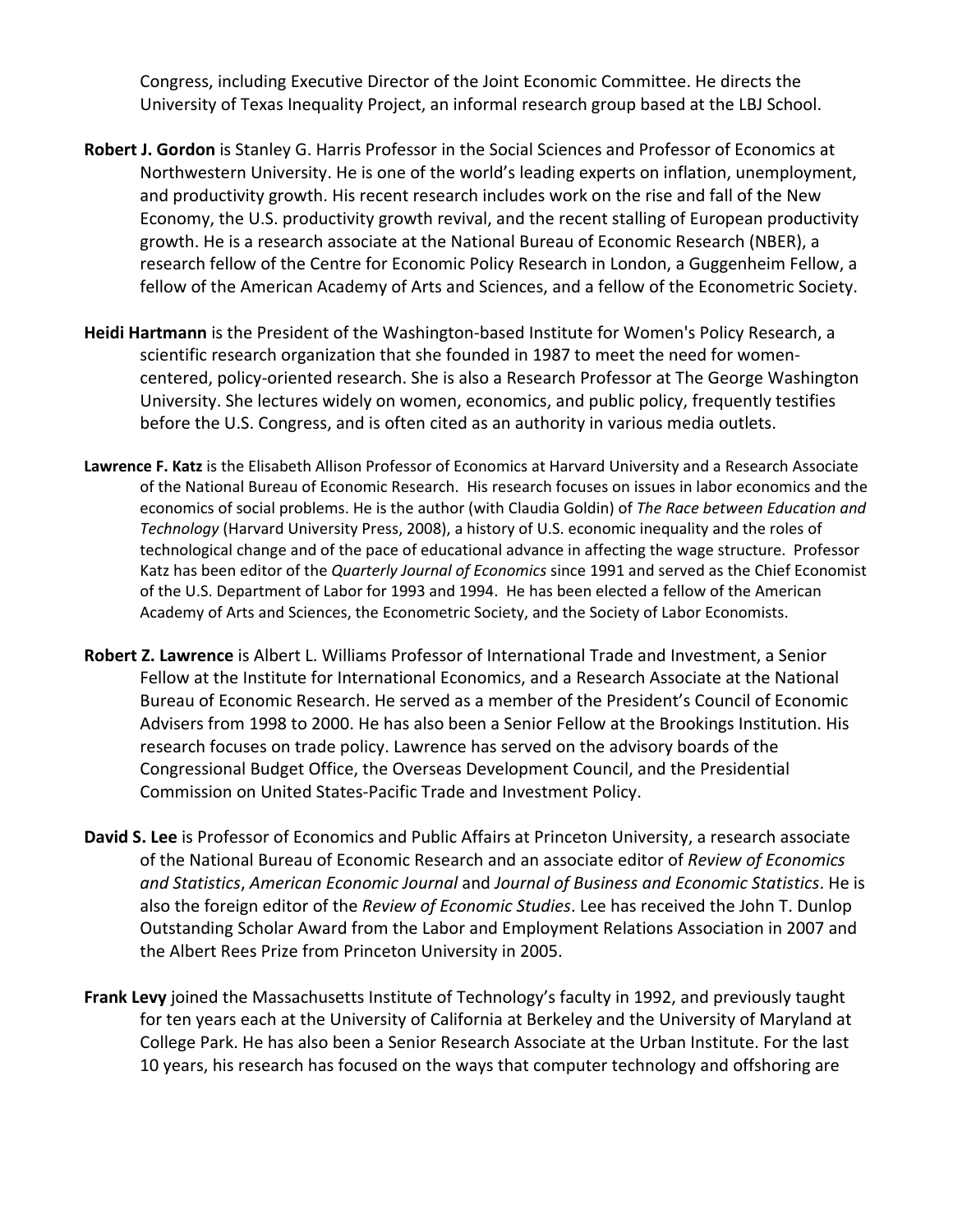Congress, including Executive Director of the Joint Economic Committee. He directs the University of Texas Inequality Project, an informal research group based at the LBJ School.

- **Robert J. Gordon** is Stanley G. Harris Professor in the Social Sciences and Professor of Economics at Northwestern University. He is one of the world's leading experts on inflation, unemployment, and productivity growth. His recent research includes work on the rise and fall of the New Economy, the U.S. productivity growth revival, and the recent stalling of European productivity growth. He is a research associate at the National Bureau of Economic Research (NBER), a research fellow of the Centre for Economic Policy Research in London, a Guggenheim Fellow, a fellow of the American Academy of Arts and Sciences, and a fellow of the Econometric Society.
- **Heidi Hartmann** is the President of the Washington‐based Institute for Women's Policy Research, a scientific research organization that she founded in 1987 to meet the need for women‐ centered, policy‐oriented research. She is also a Research Professor at The George Washington University. She lectures widely on women, economics, and public policy, frequently testifies before the U.S. Congress, and is often cited as an authority in various media outlets.
- **Lawrence F. Katz** is the Elisabeth Allison Professor of Economics at Harvard University and a Research Associate of the National Bureau of Economic Research. His research focuses on issues in labor economics and the economics of social problems. He is the author (with Claudia Goldin) of *The Race between Education and Technology* (Harvard University Press, 2008), a history of U.S. economic inequality and the roles of technological change and of the pace of educational advance in affecting the wage structure. Professor Katz has been editor of the *Quarterly Journal of Economics* since 1991 and served as the Chief Economist of the U.S. Department of Labor for 1993 and 1994. He has been elected a fellow of the American Academy of Arts and Sciences, the Econometric Society, and the Society of Labor Economists.
- **Robert Z. Lawrence** is Albert L. Williams Professor of International Trade and Investment, a Senior Fellow at the Institute for International Economics, and a Research Associate at the National Bureau of Economic Research. He served as a member of the President's Council of Economic Advisers from 1998 to 2000. He has also been a Senior Fellow at the Brookings Institution. His research focuses on trade policy. Lawrence has served on the advisory boards of the Congressional Budget Office, the Overseas Development Council, and the Presidential Commission on United States‐Pacific Trade and Investment Policy.
- **David S. Lee** is Professor of Economics and Public Affairs at Princeton University, a research associate of the National Bureau of Economic Research and an associate editor of *Review of Economics and Statistics*, *American Economic Journal* and *Journal of Business and Economic Statistics*. He is also the foreign editor of the *Review of Economic Studies*. Lee has received the John T. Dunlop Outstanding Scholar Award from the Labor and Employment Relations Association in 2007 and the Albert Rees Prize from Princeton University in 2005.
- **Frank Levy** joined the Massachusetts Institute of Technology's faculty in 1992, and previously taught for ten years each at the University of California at Berkeley and the University of Maryland at College Park. He has also been a Senior Research Associate at the Urban Institute. For the last 10 years, his research has focused on the ways that computer technology and offshoring are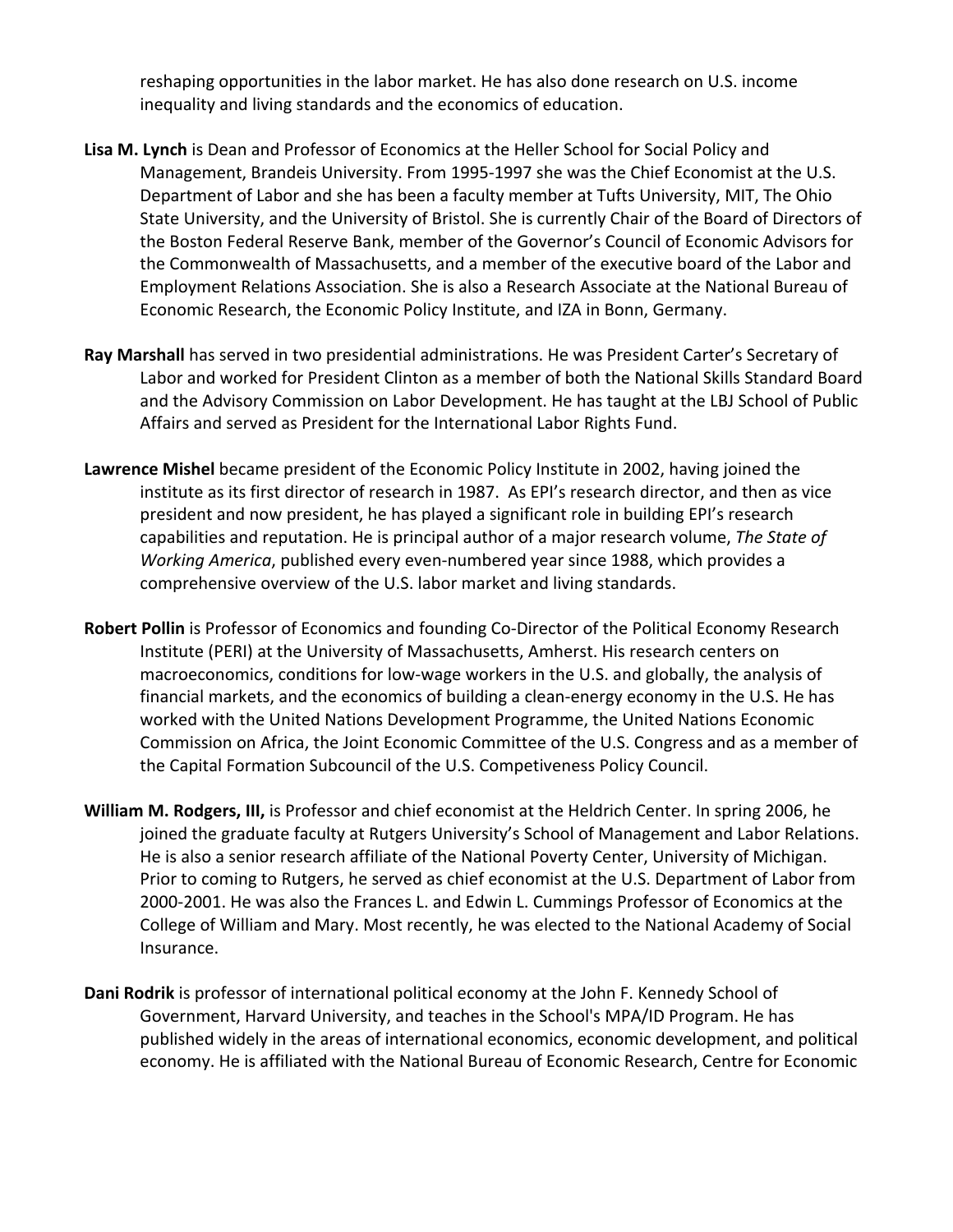reshaping opportunities in the labor market. He has also done research on U.S. income inequality and living standards and the economics of education.

- **Lisa M. Lynch** is Dean and Professor of Economics at the Heller School for Social Policy and Management, Brandeis University. From 1995‐1997 she was the Chief Economist at the U.S. Department of Labor and she has been a faculty member at Tufts University, MIT, The Ohio State University, and the University of Bristol. She is currently Chair of the Board of Directors of the Boston Federal Reserve Bank, member of the Governor's Council of Economic Advisors for the Commonwealth of Massachusetts, and a member of the executive board of the Labor and Employment Relations Association. She is also a Research Associate at the National Bureau of Economic Research, the Economic Policy Institute, and IZA in Bonn, Germany.
- **Ray Marshall** has served in two presidential administrations. He was President Carter's Secretary of Labor and worked for President Clinton as a member of both the National Skills Standard Board and the Advisory Commission on Labor Development. He has taught at the LBJ School of Public Affairs and served as President for the International Labor Rights Fund.
- **Lawrence Mishel** became president of the Economic Policy Institute in 2002, having joined the institute as its first director of research in 1987. As EPI's research director, and then as vice president and now president, he has played a significant role in building EPI's research capabilities and reputation. He is principal author of a major research volume, *The State of Working America*, published every even‐numbered year since 1988, which provides a comprehensive overview of the U.S. labor market and living standards.
- **Robert Pollin** is Professor of Economics and founding Co‐Director of the Political Economy Research Institute (PERI) at the University of Massachusetts, Amherst. His research centers on macroeconomics, conditions for low‐wage workers in the U.S. and globally, the analysis of financial markets, and the economics of building a clean-energy economy in the U.S. He has worked with the United Nations Development Programme, the United Nations Economic Commission on Africa, the Joint Economic Committee of the U.S. Congress and as a member of the Capital Formation Subcouncil of the U.S. Competiveness Policy Council.
- **William M. Rodgers, III,** is Professor and chief economist at the Heldrich Center. In spring 2006, he joined the graduate faculty at Rutgers University's School of Management and Labor Relations. He is also a senior research affiliate of the National Poverty Center, University of Michigan. Prior to coming to Rutgers, he served as chief economist at the U.S. Department of Labor from 2000‐2001. He was also the Frances L. and Edwin L. Cummings Professor of Economics at the College of William and Mary. Most recently, he was elected to the National Academy of Social Insurance.
- **Dani Rodrik** is professor of international political economy at the John F. Kennedy School of Government, Harvard University, and teaches in the School's MPA/ID Program. He has published widely in the areas of international economics, economic development, and political economy. He is affiliated with the National Bureau of Economic Research, Centre for Economic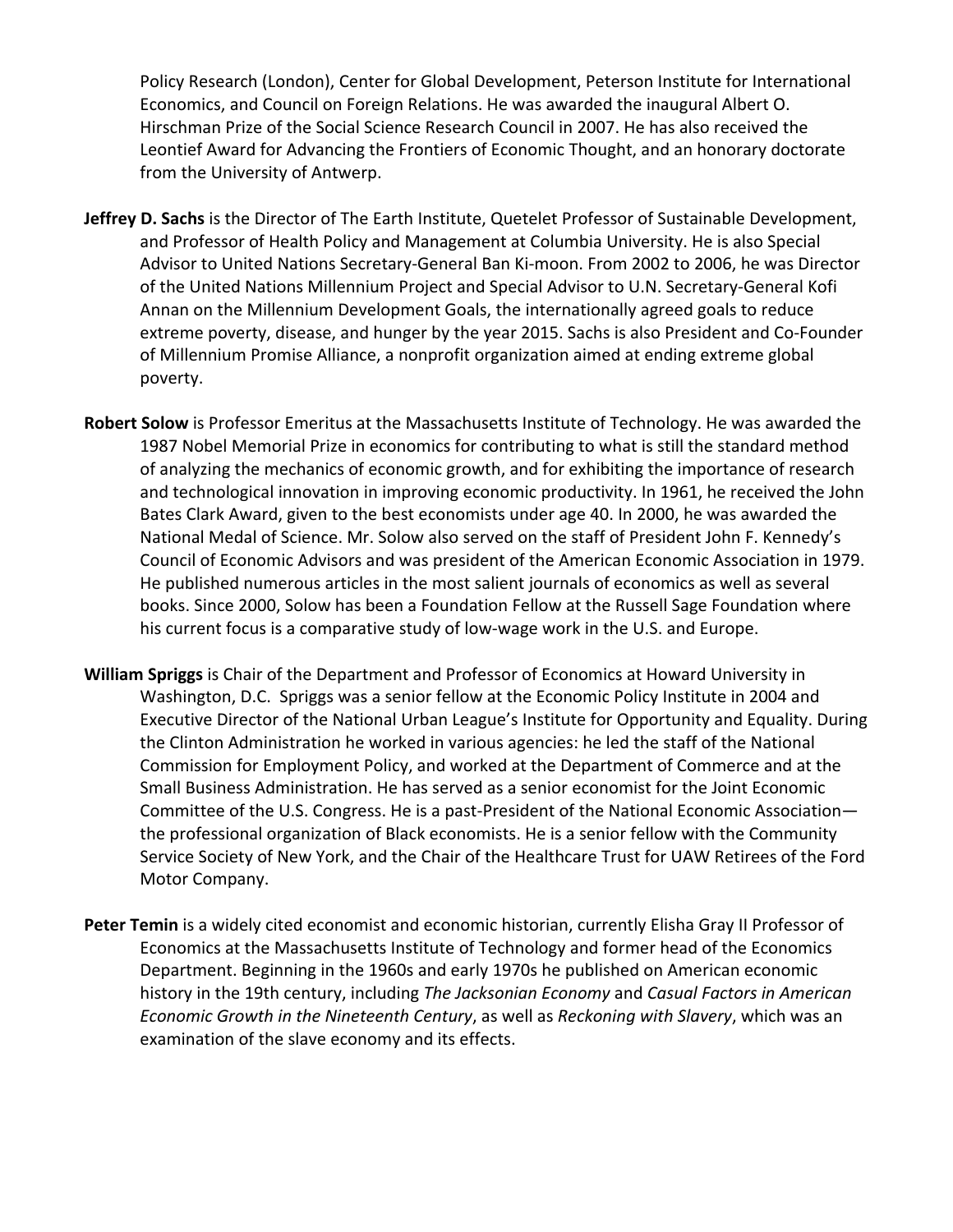Policy Research (London), Center for Global Development, Peterson Institute for International Economics, and Council on Foreign Relations. He was awarded the inaugural Albert O. Hirschman Prize of the Social Science Research Council in 2007. He has also received the Leontief Award for Advancing the Frontiers of Economic Thought, and an honorary doctorate from the University of Antwerp.

- **Jeffrey D. Sachs** is the Director of The Earth Institute, Quetelet Professor of Sustainable Development, and Professor of Health Policy and Management at Columbia University. He is also Special Advisor to United Nations Secretary‐General Ban Ki‐moon. From 2002 to 2006, he was Director of the United Nations Millennium Project and Special Advisor to U.N. Secretary‐General Kofi Annan on the Millennium Development Goals, the internationally agreed goals to reduce extreme poverty, disease, and hunger by the year 2015. Sachs is also President and Co‐Founder of Millennium Promise Alliance, a nonprofit organization aimed at ending extreme global poverty.
- **Robert Solow** is Professor Emeritus at the Massachusetts Institute of Technology. He was awarded the 1987 Nobel Memorial Prize in economics for contributing to what is still the standard method of analyzing the mechanics of economic growth, and for exhibiting the importance of research and technological innovation in improving economic productivity. In 1961, he received the John Bates Clark Award, given to the best economists under age 40. In 2000, he was awarded the National Medal of Science. Mr. Solow also served on the staff of President John F. Kennedy's Council of Economic Advisors and was president of the American Economic Association in 1979. He published numerous articles in the most salient journals of economics as well as several books. Since 2000, Solow has been a Foundation Fellow at the Russell Sage Foundation where his current focus is a comparative study of low-wage work in the U.S. and Europe.
- **William Spriggs** is Chair of the Department and Professor of Economics at Howard University in Washington, D.C. Spriggs was a senior fellow at the Economic Policy Institute in 2004 and Executive Director of the National Urban League's Institute for Opportunity and Equality. During the Clinton Administration he worked in various agencies: he led the staff of the National Commission for Employment Policy, and worked at the Department of Commerce and at the Small Business Administration. He has served as a senior economist for the Joint Economic Committee of the U.S. Congress. He is a past‐President of the National Economic Association the professional organization of Black economists. He is a senior fellow with the Community Service Society of New York, and the Chair of the Healthcare Trust for UAW Retirees of the Ford Motor Company.
- **Peter Temin** is a widely cited economist and economic historian, currently Elisha Gray II Professor of Economics at the Massachusetts Institute of Technology and former head of the Economics Department. Beginning in the 1960s and early 1970s he published on American economic history in the 19th century, including *The Jacksonian Economy* and *Casual Factors in American Economic Growth in the Nineteenth Century*, as well as *Reckoning with Slavery*, which was an examination of the slave economy and its effects.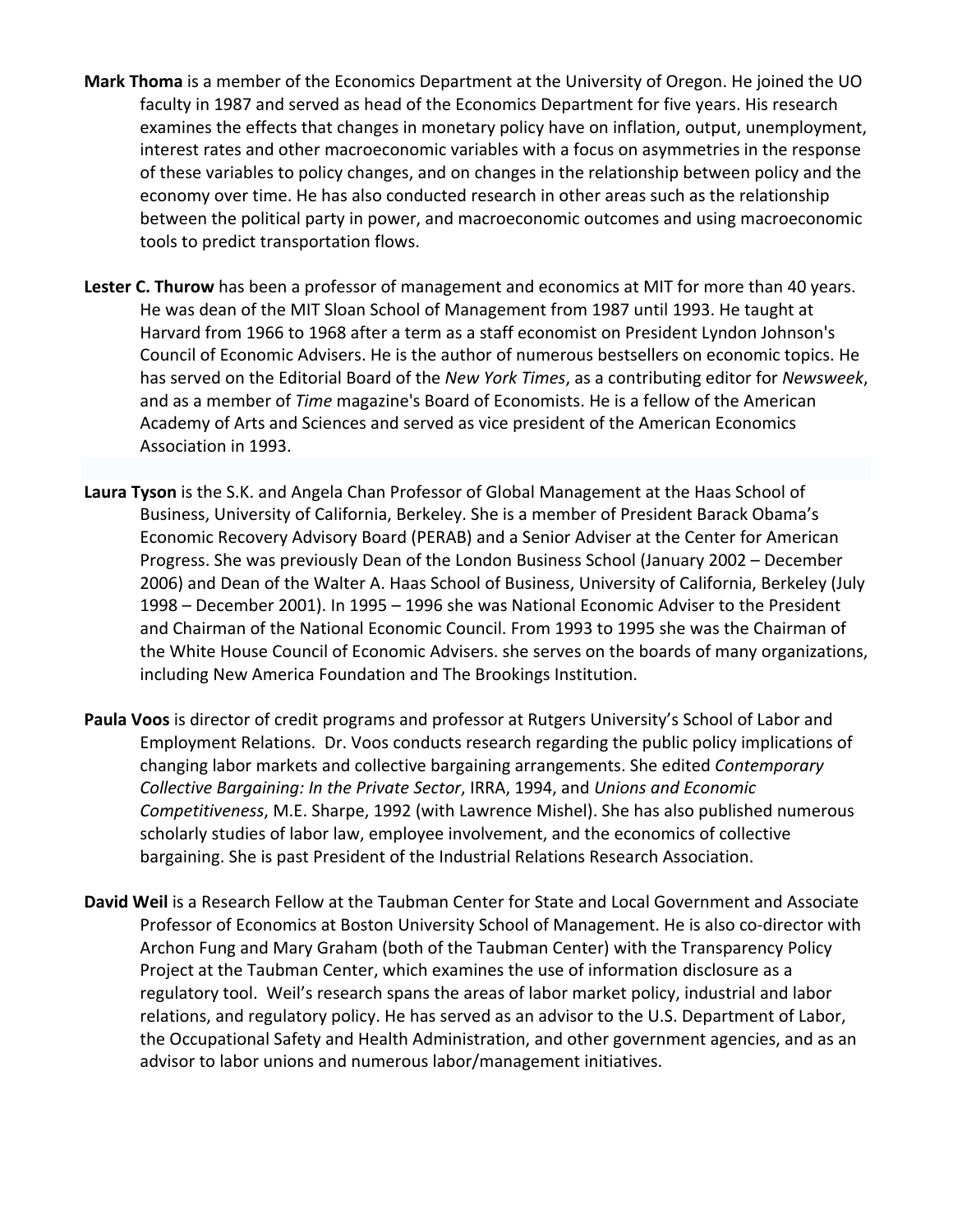- **Mark Thoma** is a member of the Economics Department at the University of Oregon. He joined the UO faculty in 1987 and served as head of the Economics Department for five years. His research examines the effects that changes in monetary policy have on inflation, output, unemployment, interest rates and other macroeconomic variables with a focus on asymmetries in the response of these variables to policy changes, and on changes in the relationship between policy and the economy over time. He has also conducted research in other areas such as the relationship between the political party in power, and macroeconomic outcomes and using macroeconomic tools to predict transportation flows.
- **Lester C. Thurow** has been a professor of management and economics at MIT for more than 40 years. He was dean of the MIT Sloan School of Management from 1987 until 1993. He taught at Harvard from 1966 to 1968 after a term as a staff economist on President Lyndon Johnson's Council of Economic Advisers. He is the author of numerous bestsellers on economic topics. He has served on the Editorial Board of the *New York Times*, as a contributing editor for *Newsweek*, and as a member of *Time* magazine's Board of Economists. He is a fellow of the American Academy of Arts and Sciences and served as vice president of the American Economics Association in 1993.
- **Laura Tyson** is the S.K. and Angela Chan Professor of Global Management at the Haas School of Business, University of California, Berkeley. She is a member of President Barack Obama's Economic Recovery Advisory Board (PERAB) and a Senior Adviser at the Center for American Progress. She was previously Dean of the London Business School (January 2002 – December 2006) and Dean of the Walter A. Haas School of Business, University of California, Berkeley (July 1998 – December 2001). In 1995 – 1996 she was National Economic Adviser to the President and Chairman of the National Economic Council. From 1993 to 1995 she was the Chairman of the White House Council of Economic Advisers. she serves on the boards of many organizations, including New America Foundation and The Brookings Institution.
- **Paula Voos** is director of credit programs and professor at Rutgers University's School of Labor and Employment Relations. Dr. Voos conducts research regarding the public policy implications of changing labor markets and collective bargaining arrangements. She edited *Contemporary Collective Bargaining: In the Private Sector*, IRRA, 1994, and *Unions and Economic Competitiveness*, M.E. Sharpe, 1992 (with Lawrence Mishel). She has also published numerous scholarly studies of labor law, employee involvement, and the economics of collective bargaining. She is past President of the Industrial Relations Research Association.
- **David Weil** is a Research Fellow at the Taubman Center for State and Local Government and Associate Professor of Economics at Boston University School of Management. He is also co‐director with Archon Fung and Mary Graham (both of the Taubman Center) with the Transparency Policy Project at the Taubman Center, which examines the use of information disclosure as a regulatory tool. Weil's research spans the areas of labor market policy, industrial and labor relations, and regulatory policy. He has served as an advisor to the U.S. Department of Labor, the Occupational Safety and Health Administration, and other government agencies, and as an advisor to labor unions and numerous labor/management initiatives.